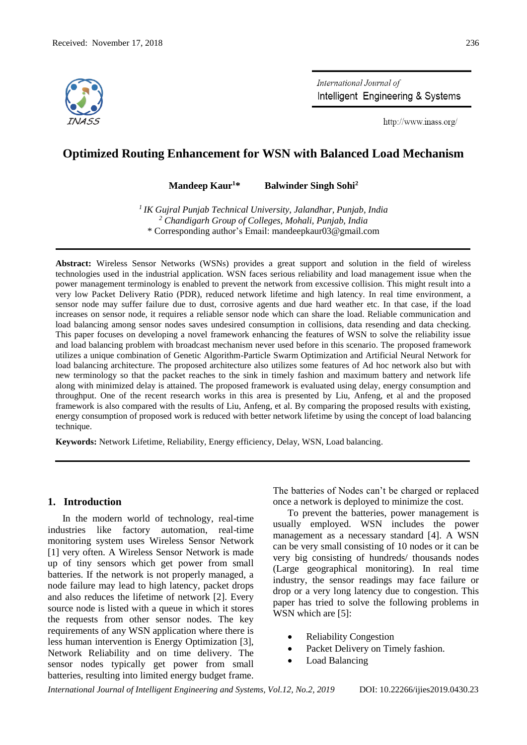

International Journal of Intelligent Engineering & Systems

http://www.inass.org/

# **Optimized Routing Enhancement for WSN with Balanced Load Mechanism**

**Mandeep Kaur<sup>1</sup>\* Balwinder Singh Sohi<sup>2</sup>**

*1 IK Gujral Punjab Technical University, Jalandhar, Punjab, India <sup>2</sup> Chandigarh Group of Colleges, Mohali, Punjab, India* \* Corresponding author's Email: mandeepkaur03@gmail.com

**Abstract:** Wireless Sensor Networks (WSNs) provides a great support and solution in the field of wireless technologies used in the industrial application. WSN faces serious reliability and load management issue when the power management terminology is enabled to prevent the network from excessive collision. This might result into a very low Packet Delivery Ratio (PDR), reduced network lifetime and high latency. In real time environment, a sensor node may suffer failure due to dust, corrosive agents and due hard weather etc. In that case, if the load increases on sensor node, it requires a reliable sensor node which can share the load. Reliable communication and load balancing among sensor nodes saves undesired consumption in collisions, data resending and data checking. This paper focuses on developing a novel framework enhancing the features of WSN to solve the reliability issue and load balancing problem with broadcast mechanism never used before in this scenario. The proposed framework utilizes a unique combination of Genetic Algorithm-Particle Swarm Optimization and Artificial Neural Network for load balancing architecture. The proposed architecture also utilizes some features of Ad hoc network also but with new terminology so that the packet reaches to the sink in timely fashion and maximum battery and network life along with minimized delay is attained. The proposed framework is evaluated using delay, energy consumption and throughput. One of the recent research works in this area is presented by Liu, Anfeng, et al and the proposed framework is also compared with the results of Liu, Anfeng, et al. By comparing the proposed results with existing, energy consumption of proposed work is reduced with better network lifetime by using the concept of load balancing technique.

**Keywords:** Network Lifetime, Reliability, Energy efficiency, Delay, WSN, Load balancing.

## **1. Introduction**

In the modern world of technology, real-time industries like factory automation, real-time monitoring system uses Wireless Sensor Network [1] very often. A Wireless Sensor Network is made up of tiny sensors which get power from small batteries. If the network is not properly managed, a node failure may lead to high latency, packet drops and also reduces the lifetime of network [2]. Every source node is listed with a queue in which it stores the requests from other sensor nodes. The key requirements of any WSN application where there is less human intervention is Energy Optimization [3], Network Reliability and on time delivery. The sensor nodes typically get power from small batteries, resulting into limited energy budget frame.

The batteries of Nodes can't be charged or replaced once a network is deployed to minimize the cost.

To prevent the batteries, power management is usually employed. WSN includes the power management as a necessary standard [4]. A WSN can be very small consisting of 10 nodes or it can be very big consisting of hundreds/ thousands nodes (Large geographical monitoring). In real time industry, the sensor readings may face failure or drop or a very long latency due to congestion. This paper has tried to solve the following problems in WSN which are [5]:

- Reliability Congestion
- Packet Delivery on Timely fashion.
- Load Balancing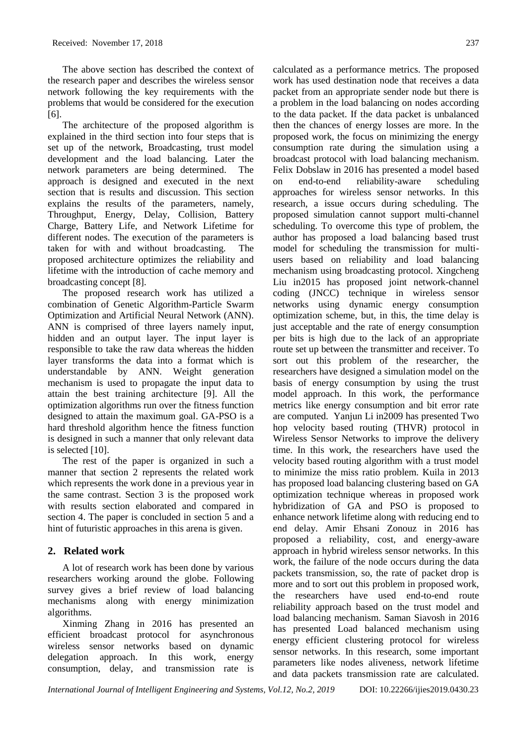The above section has described the context of the research paper and describes the wireless sensor network following the key requirements with the problems that would be considered for the execution [6].

The architecture of the proposed algorithm is explained in the third section into four steps that is set up of the network, Broadcasting, trust model development and the load balancing. Later the network parameters are being determined. The approach is designed and executed in the next section that is results and discussion. This section explains the results of the parameters, namely, Throughput, Energy, Delay, Collision, Battery Charge, Battery Life, and Network Lifetime for different nodes. The execution of the parameters is taken for with and without broadcasting. The proposed architecture optimizes the reliability and lifetime with the introduction of cache memory and broadcasting concept [8].

The proposed research work has utilized a combination of Genetic Algorithm-Particle Swarm Optimization and Artificial Neural Network (ANN). ANN is comprised of three layers namely input, hidden and an output layer. The input layer is responsible to take the raw data whereas the hidden layer transforms the data into a format which is understandable by ANN. Weight generation mechanism is used to propagate the input data to attain the best training architecture [9]. All the optimization algorithms run over the fitness function designed to attain the maximum goal. GA-PSO is a hard threshold algorithm hence the fitness function is designed in such a manner that only relevant data is selected [10].

The rest of the paper is organized in such a manner that section 2 represents the related work which represents the work done in a previous year in the same contrast. Section 3 is the proposed work with results section elaborated and compared in section 4. The paper is concluded in section 5 and a hint of futuristic approaches in this arena is given.

# **2. Related work**

A lot of research work has been done by various researchers working around the globe. Following survey gives a brief review of load balancing mechanisms along with energy minimization algorithms.

Xinming Zhang in 2016 has presented an efficient broadcast protocol for asynchronous wireless sensor networks based on dynamic delegation approach. In this work, energy consumption, delay, and transmission rate is calculated as a performance metrics. The proposed work has used destination node that receives a data packet from an appropriate sender node but there is a problem in the load balancing on nodes according to the data packet. If the data packet is unbalanced then the chances of energy losses are more. In the proposed work, the focus on minimizing the energy consumption rate during the simulation using a broadcast protocol with load balancing mechanism. Felix Dobslaw in 2016 has presented a model based on end-to-end reliability-aware scheduling approaches for wireless sensor networks. In this research, a issue occurs during scheduling. The proposed simulation cannot support multi-channel scheduling. To overcome this type of problem, the author has proposed a load balancing based trust model for scheduling the transmission for multiusers based on reliability and load balancing mechanism using broadcasting protocol. Xingcheng Liu in2015 has proposed joint network-channel coding (JNCC) technique in wireless sensor networks using dynamic energy consumption optimization scheme, but, in this, the time delay is just acceptable and the rate of energy consumption per bits is high due to the lack of an appropriate route set up between the transmitter and receiver. To sort out this problem of the researcher, the researchers have designed a simulation model on the basis of energy consumption by using the trust model approach. In this work, the performance metrics like energy consumption and bit error rate are computed. Yanjun Li in2009 has presented Two hop velocity based routing (THVR) protocol in Wireless Sensor Networks to improve the delivery time. In this work, the researchers have used the velocity based routing algorithm with a trust model to minimize the miss ratio problem. Kuila in 2013 has proposed load balancing clustering based on GA optimization technique whereas in proposed work hybridization of GA and PSO is proposed to enhance network lifetime along with reducing end to end delay. Amir Ehsani Zonouz in 2016 has proposed a reliability, cost, and energy-aware approach in hybrid wireless sensor networks. In this work, the failure of the node occurs during the data packets transmission, so, the rate of packet drop is more and to sort out this problem in proposed work, the researchers have used end-to-end route reliability approach based on the trust model and load balancing mechanism. Saman Siavosh in 2016 has presented Load balanced mechanism using energy efficient clustering protocol for wireless sensor networks. In this research, some important parameters like nodes aliveness, network lifetime and data packets transmission rate are calculated.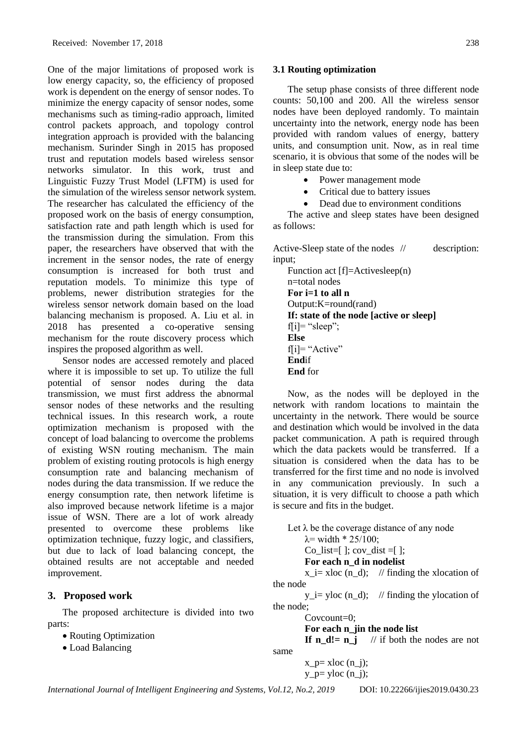One of the major limitations of proposed work is low energy capacity, so, the efficiency of proposed work is dependent on the energy of sensor nodes. To minimize the energy capacity of sensor nodes, some mechanisms such as timing-radio approach, limited control packets approach, and topology control integration approach is provided with the balancing mechanism. Surinder Singh in 2015 has proposed trust and reputation models based wireless sensor networks simulator. In this work, trust and Linguistic Fuzzy Trust Model (LFTM) is used for the simulation of the wireless sensor network system. The researcher has calculated the efficiency of the proposed work on the basis of energy consumption, satisfaction rate and path length which is used for the transmission during the simulation. From this paper, the researchers have observed that with the increment in the sensor nodes, the rate of energy consumption is increased for both trust and reputation models. To minimize this type of problems, newer distribution strategies for the wireless sensor network domain based on the load balancing mechanism is proposed. A. Liu et al. in 2018 has presented a co-operative sensing mechanism for the route discovery process which inspires the proposed algorithm as well.

Sensor nodes are accessed remotely and placed where it is impossible to set up. To utilize the full potential of sensor nodes during the data transmission, we must first address the abnormal sensor nodes of these networks and the resulting technical issues. In this research work, a route optimization mechanism is proposed with the concept of load balancing to overcome the problems of existing WSN routing mechanism. The main problem of existing routing protocols is high energy consumption rate and balancing mechanism of nodes during the data transmission. If we reduce the energy consumption rate, then network lifetime is also improved because network lifetime is a major issue of WSN. There are a lot of work already presented to overcome these problems like optimization technique, fuzzy logic, and classifiers, but due to lack of load balancing concept, the obtained results are not acceptable and needed improvement.

### **3. Proposed work**

The proposed architecture is divided into two parts:

- Routing Optimization
- Load Balancing

#### **3.1 Routing optimization**

The setup phase consists of three different node counts: 50,100 and 200. All the wireless sensor nodes have been deployed randomly. To maintain uncertainty into the network, energy node has been provided with random values of energy, battery units, and consumption unit. Now, as in real time scenario, it is obvious that some of the nodes will be in sleep state due to:

- Power management mode
- Critical due to battery issues
- Dead due to environment conditions

The active and sleep states have been designed as follows:

Active-Sleep state of the nodes // description: input;

Function act [f]=Activesleep(n) n=total nodes **For i=1 to all n** Output:K=round(rand) **If: state of the node [active or sleep]**  $f[i] = "sleep";$ **Else** f[i]= "Active" **End**if **End** for

Now, as the nodes will be deployed in the network with random locations to maintain the uncertainty in the network. There would be source and destination which would be involved in the data packet communication. A path is required through which the data packets would be transferred. If a situation is considered when the data has to be transferred for the first time and no node is involved in any communication previously. In such a situation, it is very difficult to choose a path which is secure and fits in the budget.

Let  $\lambda$  be the coverage distance of any node  $λ = width * 25/100;$ Co\_list=[ ]; cov\_dist =[ ]; **For each n\_d in nodelist** x i= xloc (n\_d); // finding the xlocation of the node  $y_i = y \cdot y$  (n\_d); // finding the ylocation of the node;

Covcount=0;

**For each n\_jin the node list**

**If n d!= n j** // if both the nodes are not same

 $x_p = xloc (n_i);$ 

 $y_p =$  yloc  $(n_i)$ ;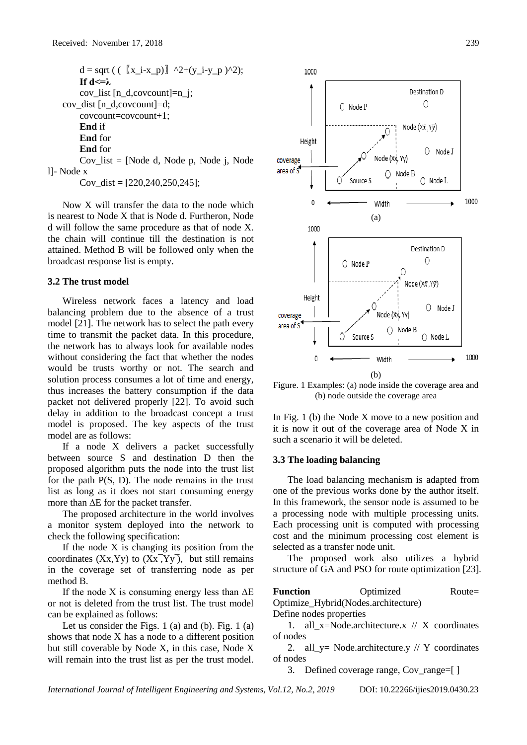$d = sqrt(( [\![x_i-x_p\!]\!] \wedge 2+(y_i-y_p) \wedge 2);$ **If d<=λ** cov\_list [n\_d,covcount]=n\_j; cov\_dist [n\_d,covcount]=d; covcount=covcount+1; **End** if **End** for **End** for Cov list  $=$  [Node d, Node p, Node j, Node l]- Node x

Cov dist =  $[220,240,250,245]$ ;

Now X will transfer the data to the node which is nearest to Node X that is Node d. Furtheron, Node d will follow the same procedure as that of node X. the chain will continue till the destination is not attained. Method B will be followed only when the broadcast response list is empty.

#### **3.2 The trust model**

Wireless network faces a latency and load balancing problem due to the absence of a trust model [21]. The network has to select the path every time to transmit the packet data. In this procedure, the network has to always look for available nodes without considering the fact that whether the nodes would be trusts worthy or not. The search and solution process consumes a lot of time and energy, thus increases the battery consumption if the data packet not delivered properly [22]. To avoid such delay in addition to the broadcast concept a trust model is proposed. The key aspects of the trust model are as follows:

If a node X delivers a packet successfully between source S and destination D then the proposed algorithm puts the node into the trust list for the path P(S, D). The node remains in the trust list as long as it does not start consuming energy more than ∆E for the packet transfer.

The proposed architecture in the world involves a monitor system deployed into the network to check the following specification:

If the node X is changing its position from the coordinates  $(Xx, Yy)$  to  $(Xx, Yy)$ , but still remains in the coverage set of transferring node as per method B.

If the node X is consuming energy less than ∆E or not is deleted from the trust list. The trust model can be explained as follows:

Let us consider the Figs. 1 (a) and (b). Fig. 1 (a) shows that node X has a node to a different position but still coverable by Node X, in this case, Node X will remain into the trust list as per the trust model.



Figure. 1 Examples: (a) node inside the coverage area and (b) node outside the coverage area

In Fig. 1 (b) the Node X move to a new position and it is now it out of the coverage area of Node X in such a scenario it will be deleted.

#### **3.3 The loading balancing**

The load balancing mechanism is adapted from one of the previous works done by the author itself. In this framework, the sensor node is assumed to be a processing node with multiple processing units. Each processing unit is computed with processing cost and the minimum processing cost element is selected as a transfer node unit.

The proposed work also utilizes a hybrid structure of GA and PSO for route optimization [23].

| <b>Function</b> | Optimized                           | $Route=$ |
|-----------------|-------------------------------------|----------|
|                 | Optimize_Hybrid(Nodes.architecture) |          |

Define nodes properties

1. all  $x=Nodearchitecture.x$  // X coordinates of nodes

2. all\_y= Node.architecture.y  $//$  Y coordinates of nodes

3. Defined coverage range, Cov\_range=[ ]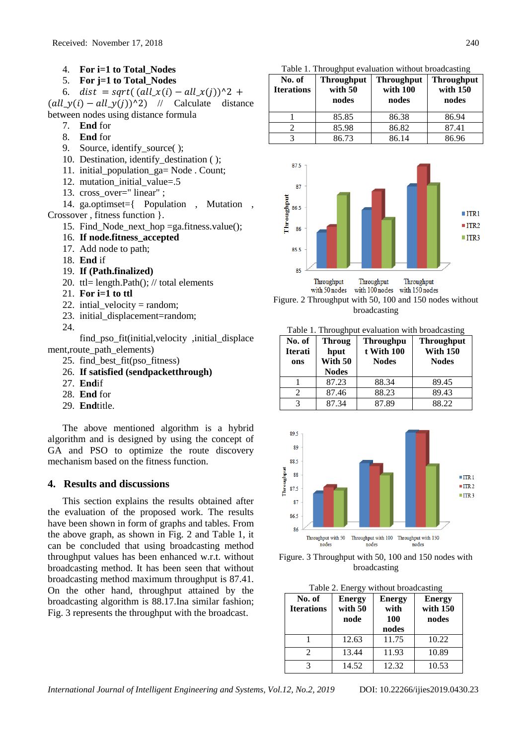- 4. **For i=1 to Total\_Nodes**
- 5. **For j=1 to Total\_Nodes**

6.  $dist = sqrt((all_x(i) - all_x(j))^2 +$  $\text{(all\_y(i) - all\_y(j))^2)}$  // Calculate distance between nodes using distance formula

- 7. **End** for
- 8. **End** for
- 9. Source, identify\_source( );
- 10. Destination, identify\_destination ( );
- 11. initial\_population\_ga= Node . Count;
- 12. mutation\_initial\_value=.5
- 13. cross over=" linear" ;

14. ga.optimset={ Population , Mutation , Crossover , fitness function }.

- 15. Find\_Node\_next\_hop =ga.fitness.value();
- 16. **If node.fitness\_accepted**
- 17. Add node to path;
- 18. **End** if
- 19. **If (Path.finalized)**
- 20. ttl= length.Path $()$ ; // total elements
- 21. **For i=1 to ttl**
- 22. intial velocity = random;
- 23. initial displacement=random;
- 24.

find\_pso\_fit(initial,velocity ,initial\_displace ment, route path elements)

- 25. find\_best\_fit(pso\_fitness)
- 26. **If satisfied (sendpacketthrough)**
- 27. **End**if
- 28. **End** for
- 29. **End**title.

The above mentioned algorithm is a hybrid algorithm and is designed by using the concept of GA and PSO to optimize the route discovery mechanism based on the fitness function.

## **4. Results and discussions**

This section explains the results obtained after the evaluation of the proposed work. The results have been shown in form of graphs and tables. From the above graph, as shown in Fig. 2 and Table 1, it can be concluded that using broadcasting method throughput values has been enhanced w.r.t. without broadcasting method. It has been seen that without broadcasting method maximum throughput is 87.41. On the other hand, throughput attained by the broadcasting algorithm is 88.17.Ina similar fashion; Fig. 3 represents the throughput with the broadcast.

Table 1. Throughput evaluation without broadcasting

| No. of<br><b>Iterations</b> | <b>Throughput</b><br>with 50<br>nodes | <b>Throughput</b><br>with 100<br>nodes | <b>Throughput</b><br>with 150<br>nodes |
|-----------------------------|---------------------------------------|----------------------------------------|----------------------------------------|
|                             | 85.85                                 | 86.38                                  | 86.94                                  |
|                             | 85.98                                 | 86.82                                  | 87.41                                  |
|                             | 86.73                                 | 86 14                                  | 86.96                                  |





Table 1. Throughput evaluation with broadcasting

| No. of<br><b>Iterati</b><br>ons | <b>Throug</b><br>hput<br>With 50<br><b>Nodes</b> | <b>Throughpu</b><br>t With 100<br><b>Nodes</b> | <b>Throughput</b><br><b>With 150</b><br><b>Nodes</b> |
|---------------------------------|--------------------------------------------------|------------------------------------------------|------------------------------------------------------|
|                                 | 87.23                                            | 88.34                                          | 89.45                                                |
|                                 | 87.46                                            | 88.23                                          | 89.43                                                |
|                                 | 87.34                                            | 87.89                                          | 88.22                                                |



Figure. 3 Throughput with 50, 100 and 150 nodes with broadcasting

|  | Table 2. Energy without broadcasting |  |
|--|--------------------------------------|--|
|  |                                      |  |

| No. of<br><b>Iterations</b> | <b>Energy</b><br>with 50<br>node | <b>Energy</b><br>with<br><b>100</b><br>nodes | <b>Energy</b><br>with 150<br>nodes |
|-----------------------------|----------------------------------|----------------------------------------------|------------------------------------|
|                             | 12.63                            | 11.75                                        | 10.22                              |
| $\mathcal{D}_{\cdot}$       | 13.44                            | 11.93                                        | 10.89                              |
|                             | 14.52                            | 12.32                                        | 10.53                              |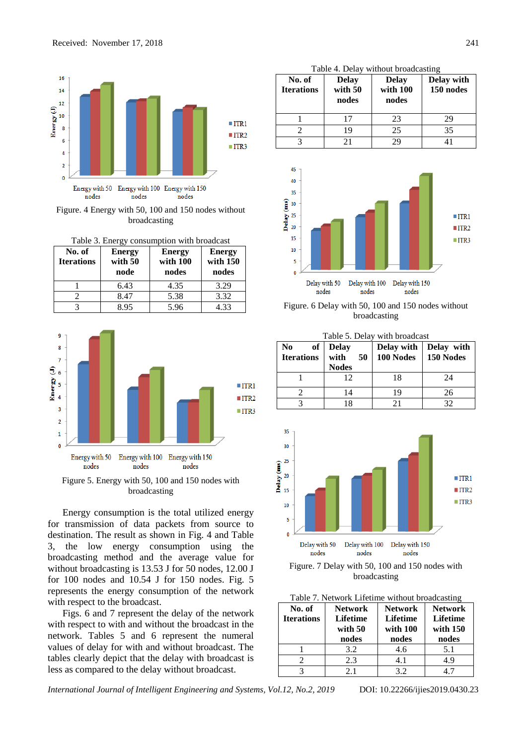

Figure. 4 Energy with 50, 100 and 150 nodes without broadcasting

| Table 3. Energy consumption with broadcast |                                  |                                    |                                    |
|--------------------------------------------|----------------------------------|------------------------------------|------------------------------------|
| No. of<br><b>Iterations</b>                | <b>Energy</b><br>with 50<br>node | <b>Energy</b><br>with 100<br>nodes | <b>Energy</b><br>with 150<br>nodes |
|                                            | 6.43                             | 4.35                               | 3.29                               |
|                                            | 8.47                             | 5.38                               | 3.32                               |
|                                            | 8.95                             | 5.96                               | 4.33                               |



Figure 5. Energy with 50, 100 and 150 nodes with broadcasting

Energy consumption is the total utilized energy for transmission of data packets from source to destination. The result as shown in Fig. 4 and Table 3, the low energy consumption using the broadcasting method and the average value for without broadcasting is 13.53 J for 50 nodes, 12.00 J for 100 nodes and 10.54 J for 150 nodes. Fig. 5 represents the energy consumption of the network with respect to the broadcast.

Figs. 6 and 7 represent the delay of the network with respect to with and without the broadcast in the network. Tables 5 and 6 represent the numeral values of delay for with and without broadcast. The tables clearly depict that the delay with broadcast is less as compared to the delay without broadcast.

|  | Table 4. Delay without broadcasting |  |
|--|-------------------------------------|--|
|  |                                     |  |

| No. of<br><b>Iterations</b> | <b>Delay</b><br>with 50<br>nodes | <b>Delay</b><br>with 100<br>nodes | Delay with<br>150 nodes |
|-----------------------------|----------------------------------|-----------------------------------|-------------------------|
|                             | 17                               | 23                                | 29                      |
|                             | 19                               | 25                                | 35                      |
|                             | 21                               | ЭC                                |                         |



Figure. 6 Delay with 50, 100 and 150 nodes without broadcasting

Table 5. Delay with broadcast

| of<br>No<br><b>Iterations</b> | <b>Delay</b><br>with<br>50<br><b>Nodes</b> | Delay with<br>100 Nodes | Delay with<br>150 Nodes |
|-------------------------------|--------------------------------------------|-------------------------|-------------------------|
|                               | 12                                         | 18                      | 24                      |
|                               | 14                                         | 19                      | 26                      |
|                               | 18                                         |                         | 37                      |



Figure. 7 Delay with 50, 100 and 150 nodes with broadcasting

| No. of            | <b>Network</b>  | <b>Network</b>  | <b>Network</b>  |
|-------------------|-----------------|-----------------|-----------------|
| <b>Iterations</b> | <b>Lifetime</b> | <b>Lifetime</b> | <b>Lifetime</b> |
|                   | with 50         | with 100        | with $150$      |
|                   | nodes           | nodes           | nodes           |
|                   | 3.2             | 4.6             | 5.1             |
|                   | 2.3             | 4.1             | 4.9             |
|                   | 2.1             | 3.2             |                 |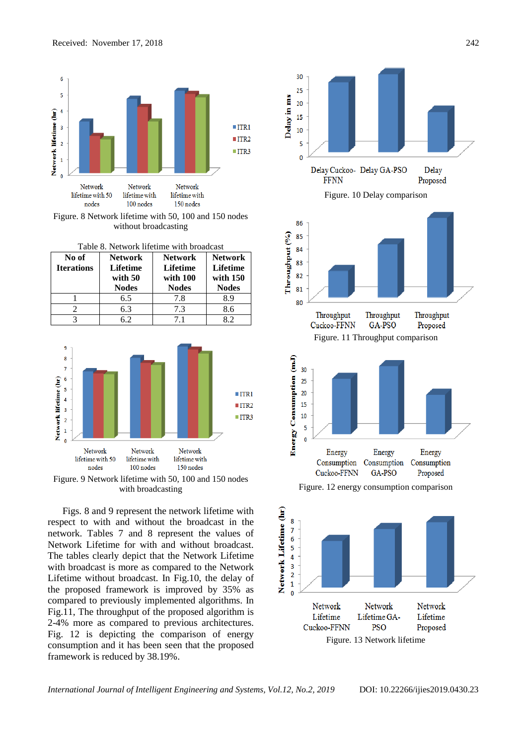

Figure. 8 Network lifetime with 50, 100 and 150 nodes without broadcasting

| No of<br><b>Iterations</b> | <b>Network</b><br><b>Lifetime</b><br>with 50<br><b>Nodes</b> | <b>Network</b><br><b>Lifetime</b><br>with 100<br><b>Nodes</b> | <b>Network</b><br><b>Lifetime</b><br>with $150$<br><b>Nodes</b> |
|----------------------------|--------------------------------------------------------------|---------------------------------------------------------------|-----------------------------------------------------------------|
|                            | 6.5                                                          | 7.8                                                           | 8.9                                                             |
|                            | 6.3                                                          | 7.3                                                           | 8.6                                                             |
|                            | 62                                                           | 71                                                            | 82                                                              |



Figure. 9 Network lifetime with 50, 100 and 150 nodes with broadcasting

Figs. 8 and 9 represent the network lifetime with respect to with and without the broadcast in the network. Tables 7 and 8 represent the values of Network Lifetime for with and without broadcast. The tables clearly depict that the Network Lifetime with broadcast is more as compared to the Network Lifetime without broadcast. In Fig.10, the delay of the proposed framework is improved by 35% as compared to previously implemented algorithms. In Fig.11, The throughput of the proposed algorithm is 2-4% more as compared to previous architectures. Fig. 12 is depicting the comparison of energy consumption and it has been seen that the proposed framework is reduced by 38.19%.



Figure. 13 Network lifetime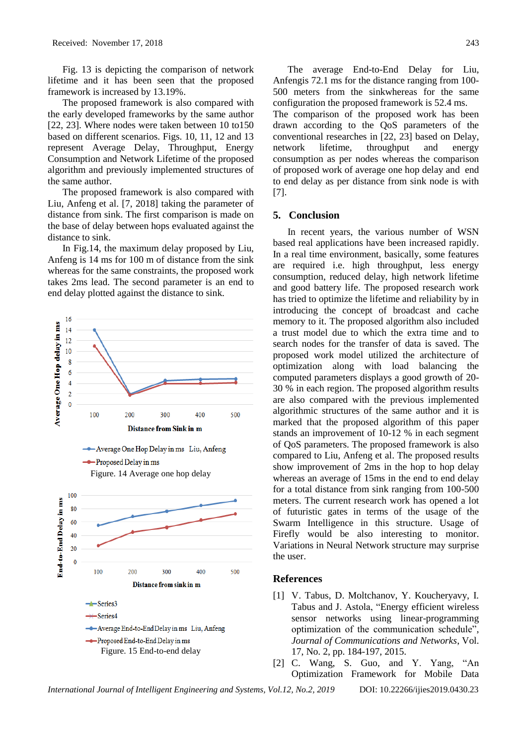Fig. 13 is depicting the comparison of network lifetime and it has been seen that the proposed framework is increased by 13.19%.

The proposed framework is also compared with the early developed frameworks by the same author [22, 23]. Where nodes were taken between 10 to150 based on different scenarios. Figs. 10, 11, 12 and 13 represent Average Delay, Throughput, Energy Consumption and Network Lifetime of the proposed algorithm and previously implemented structures of the same author.

The proposed framework is also compared with Liu, Anfeng et al. [7, 2018] taking the parameter of distance from sink. The first comparison is made on the base of delay between hops evaluated against the distance to sink.

In Fig.14, the maximum delay proposed by Liu, Anfeng is 14 ms for 100 m of distance from the sink whereas for the same constraints, the proposed work takes 2ms lead. The second parameter is an end to end delay plotted against the distance to sink.



*International Journal of Intelligent Engineering and Systems, Vol.12, No.2, 2019* DOI: 10.22266/ijies2019.0430.23

The average End-to-End Delay for Liu, Anfengis 72.1 ms for the distance ranging from 100- 500 meters from the sinkwhereas for the same configuration the proposed framework is 52.4 ms. The comparison of the proposed work has been drawn according to the QoS parameters of the conventional researches in [22, 23] based on Delay, network lifetime, throughput and energy consumption as per nodes whereas the comparison of proposed work of average one hop delay and end to end delay as per distance from sink node is with [7].

#### **5. Conclusion**

In recent years, the various number of WSN based real applications have been increased rapidly. In a real time environment, basically, some features are required i.e. high throughput, less energy consumption, reduced delay, high network lifetime and good battery life. The proposed research work has tried to optimize the lifetime and reliability by in introducing the concept of broadcast and cache memory to it. The proposed algorithm also included a trust model due to which the extra time and to search nodes for the transfer of data is saved. The proposed work model utilized the architecture of optimization along with load balancing the computed parameters displays a good growth of 20- 30 % in each region. The proposed algorithm results are also compared with the previous implemented algorithmic structures of the same author and it is marked that the proposed algorithm of this paper stands an improvement of 10-12 % in each segment of QoS parameters. The proposed framework is also compared to Liu, Anfeng et al. The proposed results show improvement of 2ms in the hop to hop delay whereas an average of 15ms in the end to end delay for a total distance from sink ranging from 100-500 meters. The current research work has opened a lot of futuristic gates in terms of the usage of the Swarm Intelligence in this structure. Usage of Firefly would be also interesting to monitor. Variations in Neural Network structure may surprise the user.

### **References**

- [1] V. Tabus, D. Moltchanov, Y. Koucheryavy, I. Tabus and J. Astola, "Energy efficient wireless sensor networks using linear-programming optimization of the communication schedule", *Journal of Communications and Networks*, Vol. 17, No. 2, pp. 184-197, 2015.
	-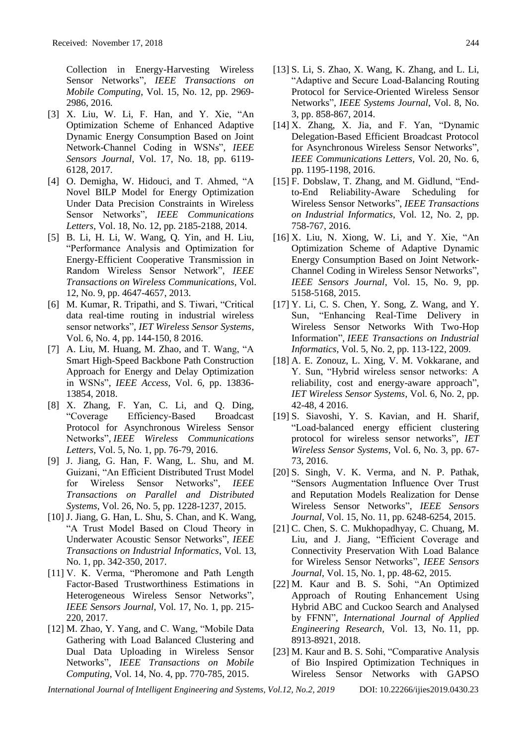Collection in Energy-Harvesting Wireless Sensor Networks", *IEEE Transactions on Mobile Computing*, Vol. 15, No. 12, pp. 2969- 2986, 2016.

- [3] X. Liu, W. Li, F. Han, and Y. Xie, "An Optimization Scheme of Enhanced Adaptive Dynamic Energy Consumption Based on Joint Network-Channel Coding in WSNs", *IEEE Sensors Journal*, Vol. 17, No. 18, pp. 6119- 6128, 2017.
- [4] O. Demigha, W. Hidouci, and T. Ahmed, "A Novel BILP Model for Energy Optimization Under Data Precision Constraints in Wireless Sensor Networks", *IEEE Communications Letters*, Vol. 18, No. 12, pp. 2185-2188, 2014.
- [5] B. Li, H. Li, W. Wang, Q. Yin, and H. Liu, "Performance Analysis and Optimization for Energy-Efficient Cooperative Transmission in Random Wireless Sensor Network", *IEEE Transactions on Wireless Communications*, Vol. 12, No. 9, pp. 4647-4657, 2013.
- [6] M. Kumar, R. Tripathi, and S. Tiwari, "Critical data real-time routing in industrial wireless sensor networks", *IET Wireless Sensor Systems*, Vol. 6, No. 4, pp. 144-150, 8 2016.
- [7] A. Liu, M. Huang, M. Zhao, and T. Wang, "A Smart High-Speed Backbone Path Construction Approach for Energy and Delay Optimization in WSNs", *IEEE Access*, Vol. 6, pp. 13836- 13854, 2018.
- [8] X. Zhang, F. Yan, C. Li, and Q. Ding, "Coverage Efficiency-Based Broadcast Protocol for Asynchronous Wireless Sensor Networks", *IEEE Wireless Communications Letters*, Vol. 5, No. 1, pp. 76-79, 2016.
- [9] J. Jiang, G. Han, F. Wang, L. Shu, and M. Guizani, "An Efficient Distributed Trust Model for Wireless Sensor Networks", *IEEE Transactions on Parallel and Distributed Systems*, Vol. 26, No. 5, pp. 1228-1237, 2015.
- [10] J. Jiang, G. Han, L. Shu, S. Chan, and K. Wang, "A Trust Model Based on Cloud Theory in Underwater Acoustic Sensor Networks", *IEEE Transactions on Industrial Informatics*, Vol. 13, No. 1, pp. 342-350, 2017.
- [11] V. K. Verma, "Pheromone and Path Length Factor-Based Trustworthiness Estimations in Heterogeneous Wireless Sensor Networks", *IEEE Sensors Journal*, Vol. 17, No. 1, pp. 215- 220, 2017.
- [12] M. Zhao, Y. Yang, and C. Wang, "Mobile Data Gathering with Load Balanced Clustering and Dual Data Uploading in Wireless Sensor Networks", *IEEE Transactions on Mobile Computing*, Vol. 14, No. 4, pp. 770-785, 2015.
- [13] S. Li, S. Zhao, X. Wang, K. Zhang, and L. Li, "Adaptive and Secure Load-Balancing Routing Protocol for Service-Oriented Wireless Sensor Networks", *IEEE Systems Journal*, Vol. 8, No. 3, pp. 858-867, 2014.
- [14] X. Zhang, X. Jia, and F. Yan, "Dynamic Delegation-Based Efficient Broadcast Protocol for Asynchronous Wireless Sensor Networks", *IEEE Communications Letters*, Vol. 20, No. 6, pp. 1195-1198, 2016.
- [15] F. Dobslaw, T. Zhang, and M. Gidlund, "Endto-End Reliability-Aware Scheduling for Wireless Sensor Networks", *IEEE Transactions on Industrial Informatics*, Vol. 12, No. 2, pp. 758-767, 2016.
- [16] X. Liu, N. Xiong, W. Li, and Y. Xie, "An Optimization Scheme of Adaptive Dynamic Energy Consumption Based on Joint Network-Channel Coding in Wireless Sensor Networks", *IEEE Sensors Journal*, Vol. 15, No. 9, pp. 5158-5168, 2015.
- [17] Y. Li, C. S. Chen, Y. Song, Z. Wang, and Y. Sun, "Enhancing Real-Time Delivery in Wireless Sensor Networks With Two-Hop Information", *IEEE Transactions on Industrial Informatics*, Vol. 5, No. 2, pp. 113-122, 2009.
- [18] A. E. Zonouz, L. Xing, V. M. Vokkarane, and Y. Sun, "Hybrid wireless sensor networks: A reliability, cost and energy-aware approach", *IET Wireless Sensor Systems*, Vol. 6, No. 2, pp. 42-48, 4 2016.
- [19] S. Siavoshi, Y. S. Kavian, and H. Sharif, "Load-balanced energy efficient clustering protocol for wireless sensor networks", *IET Wireless Sensor Systems*, Vol. 6, No. 3, pp. 67- 73, 2016.
- [20] S. Singh, V. K. Verma, and N. P. Pathak, "Sensors Augmentation Influence Over Trust and Reputation Models Realization for Dense Wireless Sensor Networks", *IEEE Sensors Journal*, Vol. 15, No. 11, pp. 6248-6254, 2015.
- [21] C. Chen, S. C. Mukhopadhyay, C. Chuang, M. Liu, and J. Jiang, "Efficient Coverage and Connectivity Preservation With Load Balance for Wireless Sensor Networks", *IEEE Sensors Journal*, Vol. 15, No. 1, pp. 48-62, 2015.
- [22] M. Kaur and B. S. Sohi, "An Optimized Approach of Routing Enhancement Using Hybrid ABC and Cuckoo Search and Analysed by FFNN", *International Journal of Applied Engineering Research*, Vol. 13, No. 11, pp. 8913-8921, 2018.
- [23] M. Kaur and B. S. Sohi, "Comparative Analysis of Bio Inspired Optimization Techniques in Wireless Sensor Networks with GAPSO